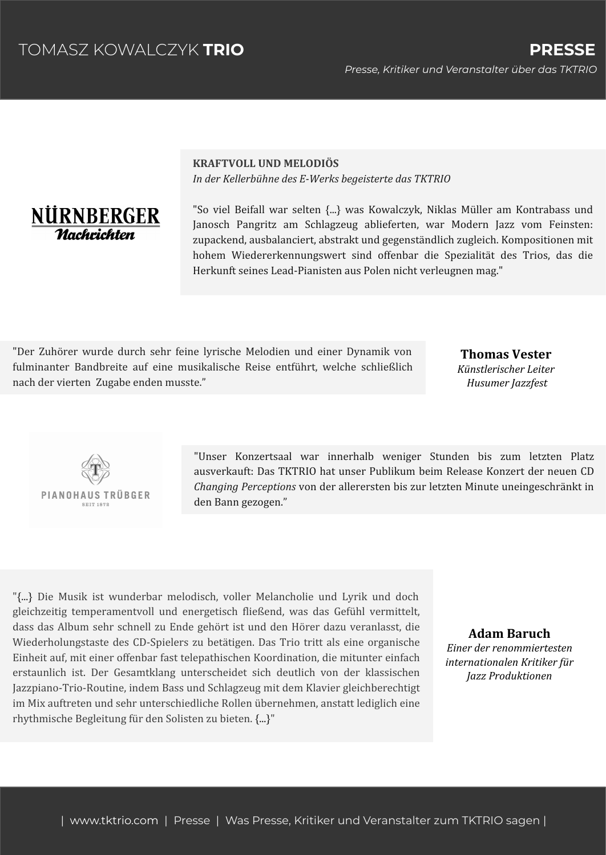

**KRAFTVOLL UND MELODIÖS** *In der Kellerbühne des E-Werks begeisterte das TKTRIO*

"So viel Beifall war selten {...} was Kowalczyk, Niklas Müller am Kontrabass und Janosch Pangritz am Schlagzeug ablieferten, war Modern Jazz vom Feinsten: zupackend, ausbalanciert, abstrakt und gegenständlich zugleich. Kompositionen mit hohem Wiedererkennungswert sind offenbar die Spezialität des Trios, das die Herkunft seines Lead-Pianisten aus Polen nicht verleugnen mag."

"Der Zuhörer wurde durch sehr feine lyrische Melodien und einer Dynamik von fulminanter Bandbreite auf eine musikalische Reise entführt, welche schließlich nach der vierten Zugabe enden musste."

## **Thomas Vester** *Künstlerischer Leiter Husumer Jazzfest*



"Unser Konzertsaal war innerhalb weniger Stunden bis zum letzten Platz ausverkauft: Das TKTRIO hat unser Publikum beim Release Konzert der neuen CD *Changing Perceptions* von der allerersten bis zur letzten Minute uneingeschränkt in den Bann gezogen."

"{...} Die Musik ist wunderbar melodisch, voller Melancholie und Lyrik und doch gleichzeitig temperamentvoll und energetisch fließend, was das Gefühl vermittelt, dass das Album sehr schnell zu Ende gehört ist und den Hörer dazu veranlasst, die Wiederholungstaste des CD-Spielers zu betätigen. Das Trio tritt als eine organische Einheit auf, mit einer offenbar fast telepathischen Koordination, die mitunter einfach erstaunlich ist. Der Gesamtklang unterscheidet sich deutlich von der klassischen Jazzpiano-Trio-Routine, indem Bass und Schlagzeug mit dem Klavier gleichberechtigt im Mix auftreten und sehr unterschiedliche Rollen übernehmen, anstatt lediglich eine rhythmische Begleitung für den Solisten zu bieten. {...}"

## **Adam Baruch**

*Einer der renommiertesten internationalen Kritiker für Jazz Produktionen*